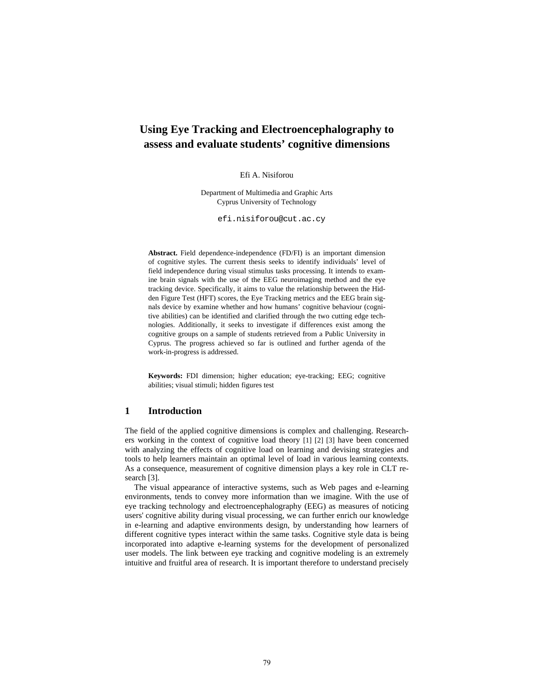# **Using Eye Tracking and Electroencephalography to assess and evaluate students' cognitive dimensions**

Efi A. Nisiforou

Department of Multimedia and Graphic Arts Cyprus University of Technology

efi.nisiforou@cut.ac.cy

**Abstract.** Field dependence-independence (FD/FI) is an important dimension of cognitive styles. The current thesis seeks to identify individuals' level of field independence during visual stimulus tasks processing. It intends to examine brain signals with the use of the EEG neuroimaging method and the eye tracking device. Specifically, it aims to value the relationship between the Hidden Figure Test (HFT) scores, the Eye Tracking metrics and the EEG brain signals device by examine whether and how humans' cognitive behaviour (cognitive abilities) can be identified and clarified through the two cutting edge technologies. Additionally, it seeks to investigate if differences exist among the cognitive groups on a sample of students retrieved from a Public University in Cyprus. The progress achieved so far is outlined and further agenda of the work-in-progress is addressed.

**Keywords:** FDI dimension; higher education; eye-tracking; EEG; cognitive abilities; visual stimuli; hidden figures test

# **1 Introduction**

The field of the applied cognitive dimensions is complex and challenging. Researchers working in the context of cognitive load theory [1] [2] [3] have been concerned with analyzing the effects of cognitive load on learning and devising strategies and tools to help learners maintain an optimal level of load in various learning contexts. As a consequence, measurement of cognitive dimension plays a key role in CLT research [3].

The visual appearance of interactive systems, such as Web pages and e-learning environments, tends to convey more information than we imagine. With the use of eye tracking technology and electroencephalography (EEG) as measures of noticing users' cognitive ability during visual processing, we can further enrich our knowledge in e-learning and adaptive environments design, by understanding how learners of different cognitive types interact within the same tasks. Cognitive style data is being incorporated into adaptive e-learning systems for the development of personalized user models. The link between eye tracking and cognitive modeling is an extremely intuitive and fruitful area of research. It is important therefore to understand precisely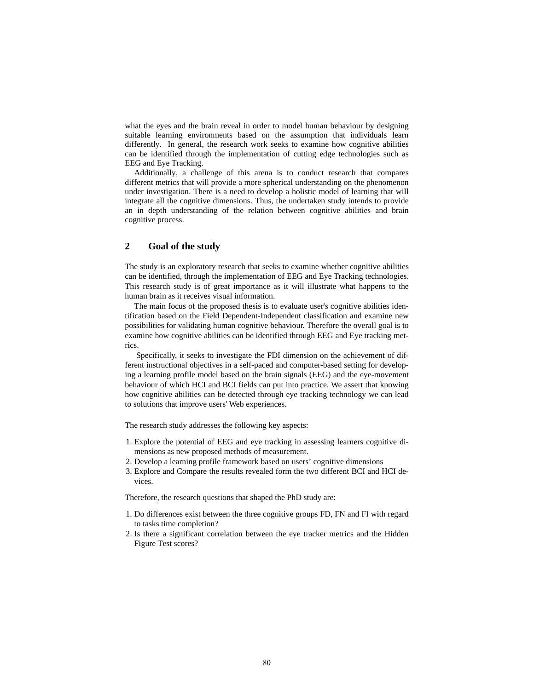what the eyes and the brain reveal in order to model human behaviour by designing suitable learning environments based on the assumption that individuals learn differently. In general, the research work seeks to examine how cognitive abilities can be identified through the implementation of cutting edge technologies such as EEG and Eye Tracking.

Additionally, a challenge of this arena is to conduct research that compares different metrics that will provide a more spherical understanding on the phenomenon under investigation. There is a need to develop a holistic model of learning that will integrate all the cognitive dimensions. Thus, the undertaken study intends to provide an in depth understanding of the relation between cognitive abilities and brain cognitive process.

# **2 Goal of the study**

The study is an exploratory research that seeks to examine whether cognitive abilities can be identified, through the implementation of EEG and Eye Tracking technologies. This research study is of great importance as it will illustrate what happens to the human brain as it receives visual information.

The main focus of the proposed thesis is to evaluate user's cognitive abilities identification based on the Field Dependent-Independent classification and examine new possibilities for validating human cognitive behaviour. Therefore the overall goal is to examine how cognitive abilities can be identified through EEG and Eye tracking metrics.

 Specifically, it seeks to investigate the FDI dimension on the achievement of different instructional objectives in a self-paced and computer-based setting for developing a learning profile model based on the brain signals (EEG) and the eye-movement behaviour of which HCI and BCI fields can put into practice. We assert that knowing how cognitive abilities can be detected through eye tracking technology we can lead to solutions that improve users' Web experiences.

The research study addresses the following key aspects:

- 1. Explore the potential of EEG and eye tracking in assessing learners cognitive dimensions as new proposed methods of measurement.
- 2. Develop a learning profile framework based on users' cognitive dimensions
- 3. Explore and Compare the results revealed form the two different BCI and HCI devices.

Therefore, the research questions that shaped the PhD study are:

- 1. Do differences exist between the three cognitive groups FD, FN and FI with regard to tasks time completion?
- 2. Is there a significant correlation between the eye tracker metrics and the Hidden Figure Test scores?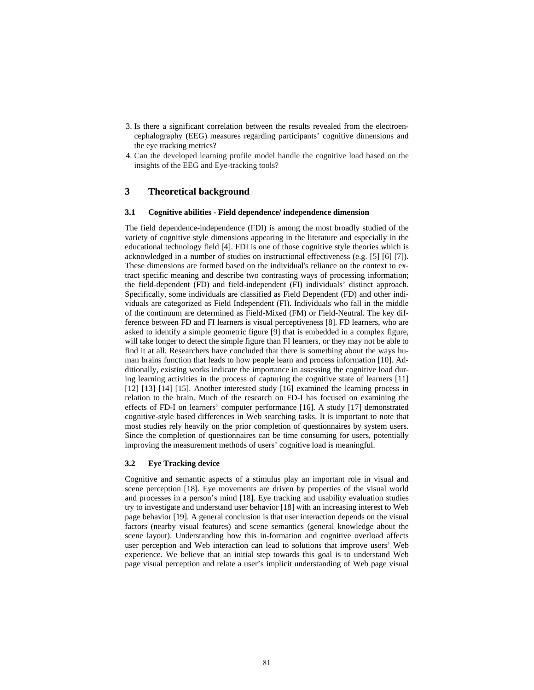- 3. Is there a significant correlation between the results revealed from the electroencephalography (EEG) measures regarding participants' cognitive dimensions and the eye tracking metrics?
- 4. Can the developed learning profile model handle the cognitive load based on the insights of the EEG and Eye-tracking tools?

# **3 Theoretical background**

#### **3.1 Cognitive abilities - Field dependence/ independence dimension**

The field dependence-independence (FDI) is among the most broadly studied of the variety of cognitive style dimensions appearing in the literature and especially in the educational technology field [4]. FDI is one of those cognitive style theories which is acknowledged in a number of studies on instructional effectiveness (e.g. [5] [6] [7]). These dimensions are formed based on the individual's reliance on the context to extract specific meaning and describe two contrasting ways of processing information; the field-dependent (FD) and field-independent (FI) individuals' distinct approach. Specifically, some individuals are classified as Field Dependent (FD) and other individuals are categorized as Field Independent (FI). Individuals who fall in the middle of the continuum are determined as Field-Mixed (FM) or Field-Neutral. The key difference between FD and FI learners is visual perceptiveness [8]. FD learners, who are asked to identify a simple geometric figure [9] that is embedded in a complex figure, will take longer to detect the simple figure than FI learners, or they may not be able to find it at all. Researchers have concluded that there is something about the ways human brains function that leads to how people learn and process information [10]. Additionally, existing works indicate the importance in assessing the cognitive load during learning activities in the process of capturing the cognitive state of learners [11] [12] [13] [14] [15]. Another interested study [16] examined the learning process in relation to the brain. Much of the research on FD-I has focused on examining the effects of FD-I on learners' computer performance [16]. A study [17] demonstrated cognitive-style based differences in Web searching tasks. It is important to note that most studies rely heavily on the prior completion of questionnaires by system users. Since the completion of questionnaires can be time consuming for users, potentially improving the measurement methods of users' cognitive load is meaningful.

#### **3.2 Eye Tracking device**

Cognitive and semantic aspects of a stimulus play an important role in visual and scene perception [18]. Eye movements are driven by properties of the visual world and processes in a person's mind [18]. Eye tracking and usability evaluation studies try to investigate and understand user behavior [18] with an increasing interest to Web page behavior [19]. A general conclusion is that user interaction depends on the visual factors (nearby visual features) and scene semantics (general knowledge about the scene layout). Understanding how this in-formation and cognitive overload affects user perception and Web interaction can lead to solutions that improve users' Web experience. We believe that an initial step towards this goal is to understand Web page visual perception and relate a user's implicit understanding of Web page visual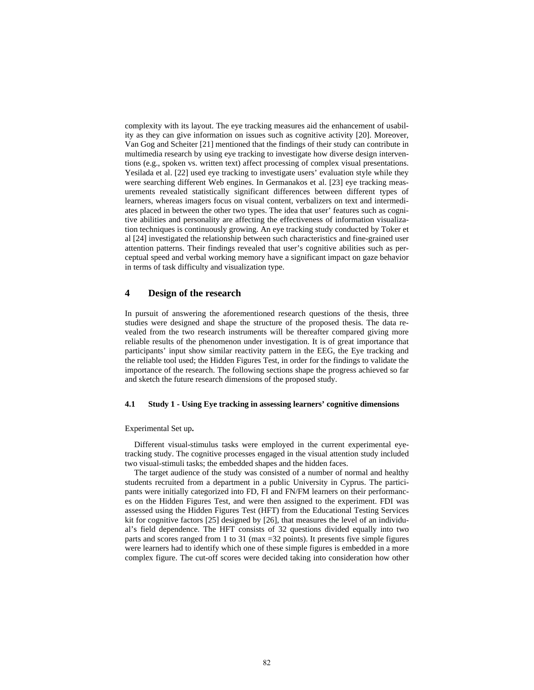complexity with its layout. The eye tracking measures aid the enhancement of usability as they can give information on issues such as cognitive activity [20]. Moreover, Van Gog and Scheiter [21] mentioned that the findings of their study can contribute in multimedia research by using eye tracking to investigate how diverse design interventions (e.g., spoken vs. written text) affect processing of complex visual presentations. Yesilada et al. [22] used eye tracking to investigate users' evaluation style while they were searching different Web engines. In Germanakos et al. [23] eye tracking measurements revealed statistically significant differences between different types of learners, whereas imagers focus on visual content, verbalizers on text and intermediates placed in between the other two types. The idea that user' features such as cognitive abilities and personality are affecting the effectiveness of information visualization techniques is continuously growing. An eye tracking study conducted by Toker et al [24] investigated the relationship between such characteristics and fine-grained user attention patterns. Their findings revealed that user's cognitive abilities such as perceptual speed and verbal working memory have a significant impact on gaze behavior in terms of task difficulty and visualization type.

# **4 Design of the research**

In pursuit of answering the aforementioned research questions of the thesis, three studies were designed and shape the structure of the proposed thesis. The data revealed from the two research instruments will be thereafter compared giving more reliable results of the phenomenon under investigation. It is of great importance that participants' input show similar reactivity pattern in the EEG, the Eye tracking and the reliable tool used; the Hidden Figures Test, in order for the findings to validate the importance of the research. The following sections shape the progress achieved so far and sketch the future research dimensions of the proposed study.

#### **4.1 Study 1 - Using Eye tracking in assessing learners' cognitive dimensions**

#### Experimental Set up**.**

Different visual-stimulus tasks were employed in the current experimental eyetracking study. The cognitive processes engaged in the visual attention study included two visual-stimuli tasks; the embedded shapes and the hidden faces.

The target audience of the study was consisted of a number of normal and healthy students recruited from a department in a public University in Cyprus. The participants were initially categorized into FD, FI and FN/FM learners on their performances on the Hidden Figures Test, and were then assigned to the experiment. FDI was assessed using the Hidden Figures Test (HFT) from the Educational Testing Services kit for cognitive factors [25] designed by [26], that measures the level of an individual's field dependence. The HFT consists of 32 questions divided equally into two parts and scores ranged from 1 to 31 (max =32 points). It presents five simple figures were learners had to identify which one of these simple figures is embedded in a more complex figure. The cut-off scores were decided taking into consideration how other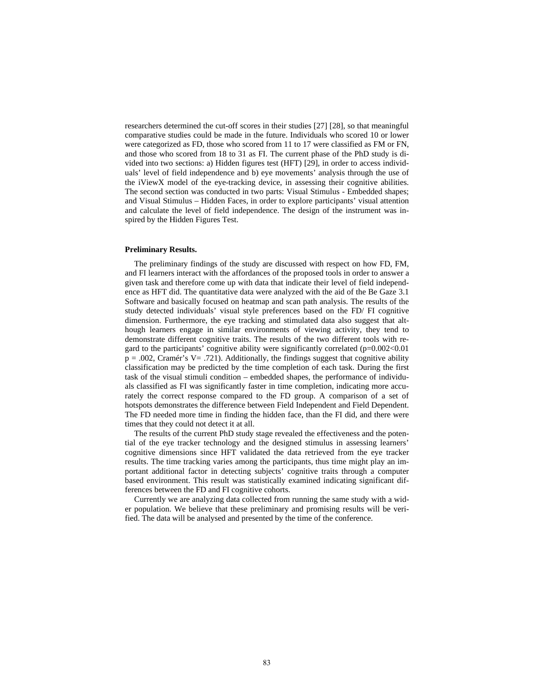researchers determined the cut-off scores in their studies [27] [28], so that meaningful comparative studies could be made in the future. Individuals who scored 10 or lower were categorized as FD, those who scored from 11 to 17 were classified as FM or FN, and those who scored from 18 to 31 as FI. The current phase of the PhD study is divided into two sections: a) Hidden figures test (HFT) [29], in order to access individuals' level of field independence and b) eye movements' analysis through the use of the iViewX model of the eye-tracking device, in assessing their cognitive abilities. The second section was conducted in two parts: Visual Stimulus - Embedded shapes; and Visual Stimulus – Hidden Faces, in order to explore participants' visual attention and calculate the level of field independence. The design of the instrument was inspired by the Hidden Figures Test.

#### **Preliminary Results.**

The preliminary findings of the study are discussed with respect on how FD, FM, and FI learners interact with the affordances of the proposed tools in order to answer a given task and therefore come up with data that indicate their level of field independence as HFT did. The quantitative data were analyzed with the aid of the Be Gaze 3.1 Software and basically focused on heatmap and scan path analysis. The results of the study detected individuals' visual style preferences based on the FD/ FI cognitive dimension. Furthermore, the eye tracking and stimulated data also suggest that although learners engage in similar environments of viewing activity, they tend to demonstrate different cognitive traits. The results of the two different tools with regard to the participants' cognitive ability were significantly correlated (p=0.002<0.01  $p = .002$ , Cramér's V = .721). Additionally, the findings suggest that cognitive ability classification may be predicted by the time completion of each task. During the first task of the visual stimuli condition – embedded shapes, the performance of individuals classified as FI was significantly faster in time completion, indicating more accurately the correct response compared to the FD group. A comparison of a set of hotspots demonstrates the difference between Field Independent and Field Dependent. The FD needed more time in finding the hidden face, than the FI did, and there were times that they could not detect it at all.

The results of the current PhD study stage revealed the effectiveness and the potential of the eye tracker technology and the designed stimulus in assessing learners' cognitive dimensions since HFT validated the data retrieved from the eye tracker results. The time tracking varies among the participants, thus time might play an important additional factor in detecting subjects' cognitive traits through a computer based environment. This result was statistically examined indicating significant differences between the FD and FI cognitive cohorts.

Currently we are analyzing data collected from running the same study with a wider population. We believe that these preliminary and promising results will be verified. The data will be analysed and presented by the time of the conference.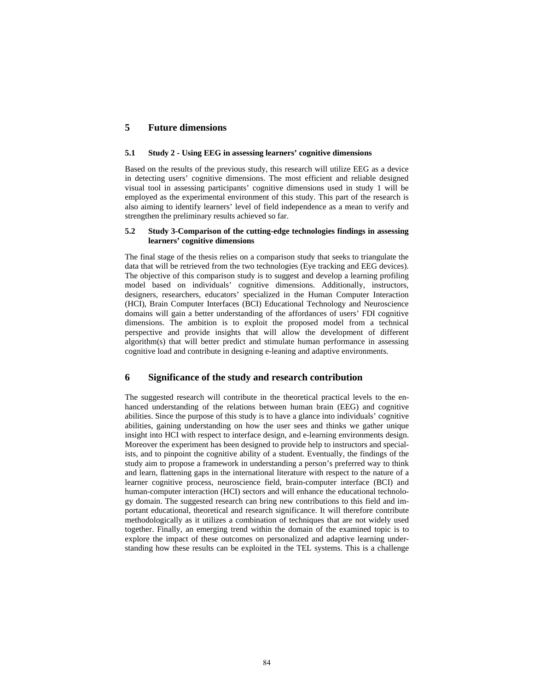# **5 Future dimensions**

## **5.1 Study 2 - Using EEG in assessing learners' cognitive dimensions**

Based on the results of the previous study, this research will utilize EEG as a device in detecting users' cognitive dimensions. The most efficient and reliable designed visual tool in assessing participants' cognitive dimensions used in study 1 will be employed as the experimental environment of this study. This part of the research is also aiming to identify learners' level of field independence as a mean to verify and strengthen the preliminary results achieved so far.

#### **5.2 Study 3-Comparison of the cutting-edge technologies findings in assessing learners' cognitive dimensions**

The final stage of the thesis relies on a comparison study that seeks to triangulate the data that will be retrieved from the two technologies (Eye tracking and EEG devices). The objective of this comparison study is to suggest and develop a learning profiling model based on individuals' cognitive dimensions. Additionally, instructors, designers, researchers, educators' specialized in the Human Computer Interaction (HCI), Brain Computer Interfaces (BCI) Educational Technology and Neuroscience domains will gain a better understanding of the affordances of users' FDI cognitive dimensions. The ambition is to exploit the proposed model from a technical perspective and provide insights that will allow the development of different algorithm(s) that will better predict and stimulate human performance in assessing cognitive load and contribute in designing e-leaning and adaptive environments.

# **6 Significance of the study and research contribution**

The suggested research will contribute in the theoretical practical levels to the enhanced understanding of the relations between human brain (EEG) and cognitive abilities. Since the purpose of this study is to have a glance into individuals' cognitive abilities, gaining understanding on how the user sees and thinks we gather unique insight into HCI with respect to interface design, and e-learning environments design. Moreover the experiment has been designed to provide help to instructors and specialists, and to pinpoint the cognitive ability of a student. Eventually, the findings of the study aim to propose a framework in understanding a person's preferred way to think and learn, flattening gaps in the international literature with respect to the nature of a learner cognitive process, neuroscience field, brain-computer interface (BCI) and human-computer interaction (HCI) sectors and will enhance the educational technology domain. The suggested research can bring new contributions to this field and important educational, theoretical and research significance. It will therefore contribute methodologically as it utilizes a combination of techniques that are not widely used together. Finally, an emerging trend within the domain of the examined topic is to explore the impact of these outcomes on personalized and adaptive learning understanding how these results can be exploited in the TEL systems. This is a challenge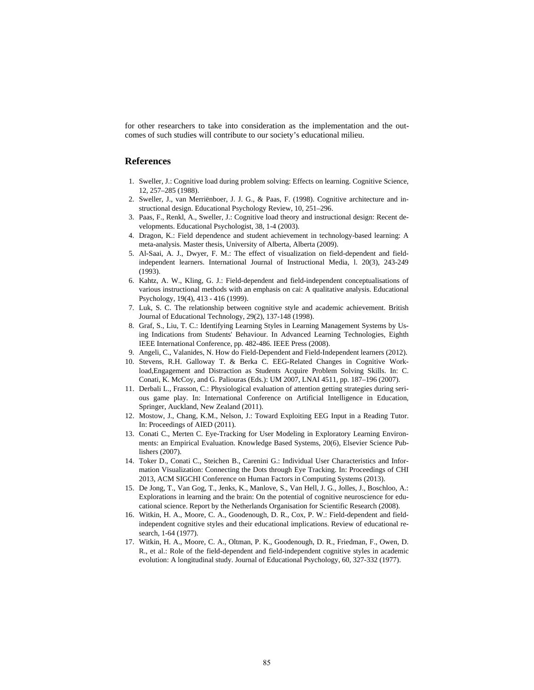for other researchers to take into consideration as the implementation and the outcomes of such studies will contribute to our society's educational milieu.

## **References**

- 1. Sweller, J.: Cognitive load during problem solving: Effects on learning. Cognitive Science, 12, 257–285 (1988).
- 2. Sweller, J., van Merriënboer, J. J. G., & Paas, F. (1998). Cognitive architecture and instructional design. Educational Psychology Review, 10, 251–296.
- 3. Paas, F., Renkl, A., Sweller, J.: Cognitive load theory and instructional design: Recent developments. Educational Psychologist, 38, 1-4 (2003).
- 4. Dragon, K.: Field dependence and student achievement in technology-based learning: A meta-analysis. Master thesis, University of Alberta, Alberta (2009).
- 5. Al-Saai, A. J., Dwyer, F. M.: The effect of visualization on field-dependent and fieldindependent learners. International Journal of Instructional Media, l. 20(3), 243-249 (1993).
- 6. Kahtz, A. W., Kling, G. J.: Field-dependent and field-independent conceptualisations of various instructional methods with an emphasis on cai: A qualitative analysis. Educational Psychology, 19(4), 413 - 416 (1999).
- 7. Luk, S. C. The relationship between cognitive style and academic achievement. British Journal of Educational Technology, 29(2), 137-148 (1998).
- 8. Graf, S., Liu, T. C.: Identifying Learning Styles in Learning Management Systems by Using Indications from Students' Behaviour. In Advanced Learning Technologies, Eighth IEEE International Conference, pp. 482-486. IEEE Press (2008).
- 9. Angeli, C., Valanides, N. How do Field-Dependent and Field-Independent learners (2012).
- 10. Stevens, R.H. Galloway T. & Berka C. EEG-Related Changes in Cognitive Workload,Engagement and Distraction as Students Acquire Problem Solving Skills. In: C. Conati, K. McCoy, and G. Paliouras (Eds.): UM 2007, LNAI 4511, pp. 187–196 (2007).
- 11. Derbali L., Frasson, C.: Physiological evaluation of attention getting strategies during serious game play. In: International Conference on Artificial Intelligence in Education, Springer, Auckland, New Zealand (2011).
- 12. Mostow, J., Chang, K.M., Nelson, J.: Toward Exploiting EEG Input in a Reading Tutor. In: Proceedings of AIED (2011).
- 13. Conati C., Merten C. Eye-Tracking for User Modeling in Exploratory Learning Environments: an Empirical Evaluation. Knowledge Based Systems, 20(6), Elsevier Science Publishers (2007).
- 14. Toker D., Conati C., Steichen B., Carenini G.: Individual User Characteristics and Information Visualization: Connecting the Dots through Eye Tracking. In: Proceedings of CHI 2013, ACM SIGCHI Conference on Human Factors in Computing Systems (2013).
- 15. De Jong, T., Van Gog, T., Jenks, K., Manlove, S., Van Hell, J. G., Jolles, J., Boschloo, A.: Explorations in learning and the brain: On the potential of cognitive neuroscience for educational science. Report by the Netherlands Organisation for Scientific Research (2008).
- 16. Witkin, H. A., Moore, C. A., Goodenough, D. R., Cox, P. W.: Field-dependent and fieldindependent cognitive styles and their educational implications. Review of educational research, 1-64 (1977).
- 17. Witkin, H. A., Moore, C. A., Oltman, P. K., Goodenough, D. R., Friedman, F., Owen, D. R., et al.: Role of the field-dependent and field-independent cognitive styles in academic evolution: A longitudinal study. Journal of Educational Psychology, 60, 327-332 (1977).